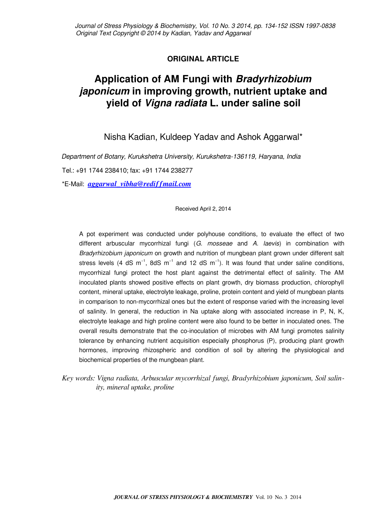# **ORIGINAL ARTICLE**

# **Application of AM Fungi with Bradyrhizobium japonicum in improving growth, nutrient uptake and yield of Vigna radiata L. under saline soil**

Nisha Kadian, Kuldeep Yadav and Ashok Aggarwal\*

Department of Botany, Kurukshetra University, Kurukshetra-136119, Haryana, India Tel.: +91 1744 238410; fax: +91 1744 238277

\*E-Mail: *[aggarwal\\_vibha@rediffmail.com](mailto:aggarwal_vibha@rediffmail.com)*

# Received April 2, 2014

A pot experiment was conducted under polyhouse conditions, to evaluate the effect of two different arbuscular mycorrhizal fungi  $(G.$  mosseae and  $A.$  laevis) in combination with Bradyrhizobium japonicum on growth and nutrition of mungbean plant grown under different salt stress levels (4 dS m<sup>-1</sup>, 8dS m<sup>-1</sup> and 12 dS m<sup>-1</sup>). It was found that under saline conditions, mycorrhizal fungi protect the host plant against the detrimental effect of salinity. The AM inoculated plants showed positive effects on plant growth, dry biomass production, chlorophyll content, mineral uptake, electrolyte leakage, proline, protein content and yield of mungbean plants in comparison to non-mycorrhizal ones but the extent of response varied with the increasing level of salinity. In general, the reduction in Na uptake along with associated increase in P, N, K, electrolyte leakage and high proline content were also found to be better in inoculated ones. The overall results demonstrate that the co-inoculation of microbes with AM fungi promotes salinity tolerance by enhancing nutrient acquisition especially phosphorus (P), producing plant growth hormones, improving rhizospheric and condition of soil by altering the physiological and biochemical properties of the mungbean plant.

*Key words: Vigna radiata, Arbuscular mycorrhizal fungi, Bradyrhizobium japonicum, Soil salinity, mineral uptake, proline*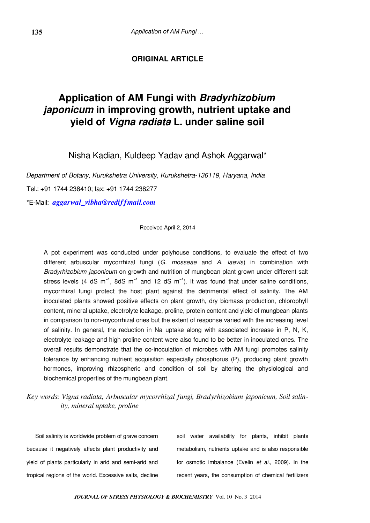# **ORIGINAL ARTICLE**

# **Application of AM Fungi with Bradyrhizobium japonicum in improving growth, nutrient uptake and yield of Vigna radiata L. under saline soil**

Nisha Kadian, Kuldeep Yadav and Ashok Aggarwal\*

Department of Botany, Kurukshetra University, Kurukshetra-136119, Haryana, India

Tel.: +91 1744 238410; fax: +91 1744 238277

\*E-Mail: *[aggarwal\\_vibha@rediffmail.com](mailto:aggarwal_vibha@rediffmail.com)*

Received April 2, 2014

A pot experiment was conducted under polyhouse conditions, to evaluate the effect of two different arbuscular mycorrhizal fungi  $(G.$  mosseae and  $A.$  laevis) in combination with Bradyrhizobium japonicum on growth and nutrition of mungbean plant grown under different salt stress levels (4 dS m<sup>-1</sup>, 8dS m<sup>-1</sup> and 12 dS m<sup>-1</sup>). It was found that under saline conditions, mycorrhizal fungi protect the host plant against the detrimental effect of salinity. The AM inoculated plants showed positive effects on plant growth, dry biomass production, chlorophyll content, mineral uptake, electrolyte leakage, proline, protein content and yield of mungbean plants in comparison to non-mycorrhizal ones but the extent of response varied with the increasing level of salinity. In general, the reduction in Na uptake along with associated increase in P, N, K, electrolyte leakage and high proline content were also found to be better in inoculated ones. The overall results demonstrate that the co-inoculation of microbes with AM fungi promotes salinity tolerance by enhancing nutrient acquisition especially phosphorus (P), producing plant growth hormones, improving rhizospheric and condition of soil by altering the physiological and biochemical properties of the mungbean plant.

*Key words: Vigna radiata, Arbuscular mycorrhizal fungi, Bradyrhizobium japonicum, Soil salinity, mineral uptake, proline*

Soil salinity is worldwide problem of grave concern because it negatively affects plant productivity and yield of plants particularly in arid and semi-arid and tropical regions of the world. Excessive salts, decline soil water availability for plants, inhibit plants metabolism, nutrients uptake and is also responsible for osmotic imbalance (Evelin et al., 2009). In the recent years, the consumption of chemical fertilizers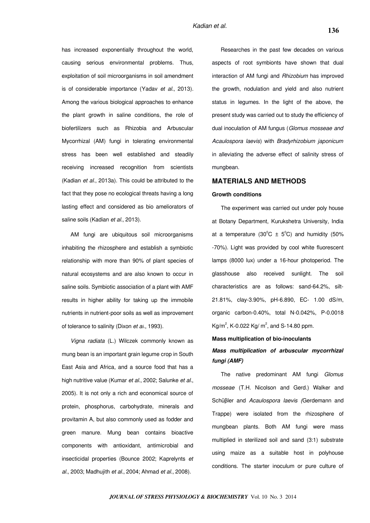has increased exponentially throughout the world, causing serious environmental problems. Thus, exploitation of soil microorganisms in soil amendment is of considerable importance (Yadav et al., 2013). Among the various biological approaches to enhance the plant growth in saline conditions, the role of biofertilizers such as Rhizobia and Arbuscular Mycorrhizal (AM) fungi in tolerating environmental stress has been well established and steadily receiving increased recognition from scientists (Kadian et al., 2013a). This could be attributed to the fact that they pose no ecological threats having a long lasting effect and considered as bio ameliorators of saline soils (Kadian et al., 2013).

AM fungi are ubiquitous soil microorganisms inhabiting the rhizosphere and establish a symbiotic relationship with more than 90% of plant species of natural ecosystems and are also known to occur in saline soils. Symbiotic association of a plant with AMF results in higher ability for taking up the immobile nutrients in nutrient-poor soils as well as improvement of tolerance to salinity (Dixon et al., 1993).

Vigna radiata (L.) Wilczek commonly known as mung bean is an important grain legume crop in South East Asia and Africa, and a source food that has a high nutritive value (Kumar et al., 2002; Salunke et al., 2005). It is not only a rich and economical source of protein, phosphorus, carbohydrate, minerals and provitamin A, but also commonly used as fodder and green manure. Mung bean contains bioactive components with antioxidant, antimicrobial and insecticidal properties (Bounce 2002; Kaprelynts et al., 2003; Madhujith et al., 2004; Ahmad et al., 2008).

Researches in the past few decades on various aspects of root symbionts have shown that dual interaction of AM fungi and Rhizobium has improved the growth, nodulation and yield and also nutrient status in legumes. In the light of the above, the present study was carried out to study the efficiency of dual inoculation of AM fungus (Glomus mosseae and Acaulospora laevis) with Bradyrhizobium japonicum in alleviating the adverse effect of salinity stress of mungbean.

# **MATERIALS AND METHODS**

## **Growth conditions**

The experiment was carried out under poly house at Botany Department, Kurukshetra University, India at a temperature (30 $^{\circ}$ C  $\pm$  5 $^{\circ}$ C) and humidity (50% -70%). Light was provided by cool white fluorescent lamps (8000 lux) under a 16-hour photoperiod. The glasshouse also received sunlight. The soil characteristics are as follows: sand-64.2%, silt-21.81%, clay-3.90%, pH-6.890, EC- 1.00 dS/m, organic carbon-0.40%, total N-0.042%, P-0.0018 Kg/m<sup>2</sup>, K-0.022 Kg/ m<sup>2</sup>, and S-14.80 ppm.

#### **Mass multiplication of bio-inoculants**

# **Mass multiplication of arbuscular mycorrhizal fungi (AMF)**

The native predominant AM fungi Glomus mosseae (T.H. Nicolson and Gerd.) Walker and Schüβler and Acaulospora laevis (Gerdemann and Trappe) were isolated from the rhizosphere of mungbean plants. Both AM fungi were mass multiplied in sterilized soil and sand (3:1) substrate using maize as a suitable host in polyhouse conditions. The starter inoculum or pure culture of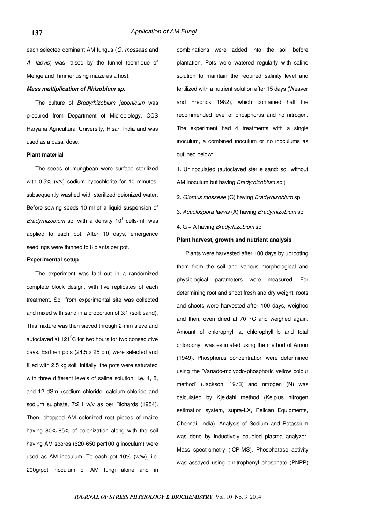each selected dominant AM fungus (G. mosseae and A. laevis) was raised by the funnel technique of Menge and Timmer using maize as a host.

#### **Mass multiplication of Rhizobium sp.**

The culture of Bradyrhizobium japonicum was procured from Department of Microbiology, CCS Haryana Agricultural University, Hisar, India and was used as a basal dose.

#### **Plant material**

The seeds of mungbean were surface sterilized with 0.5% (v/v) sodium hypochlorite for 10 minutes, subsequently washed with sterilized deionized water. Before sowing seeds 10 ml of a liquid suspension of Bradyrhizobium sp. with a density  $10^8$  cells/ml, was applied to each pot. After 10 days, emergence seedlings were thinned to 6 plants per pot.

#### **Experimental setup**

The experiment was laid out in a randomized complete block design, with five replicates of each treatment. Soil from experimental site was collected and mixed with sand in a proportion of 3:1 (soil: sand). This mixture was then sieved through 2-mm sieve and autoclaved at  $121^{\circ}$ C for two hours for two consecutive days. Earthen pots (24.5 x 25 cm) were selected and filled with 2.5 kg soil. Initially, the pots were saturated with three different levels of saline solution, *i.e.* 4, 8, and 12 dSm<sup>-1</sup>(sodium chloride, calcium chloride and sodium sulphate, 7:2:1 w/v as per Richards (1954). Then, chopped AM colonized root pieces of maize having 80%-85% of colonization along with the soil having AM spores (620-650 per100 g inoculum) were used as AM inoculum. To each pot 10% (w/w), i.e. 200g/pot inoculum of AM fungi alone and in

combinations were added into the soil before plantation. Pots were watered regularly with saline solution to maintain the required salinity level and fertilized with a nutrient solution after 15 days (Weaver and Fredrick 1982), which contained half the recommended level of phosphorus and no nitrogen. The experiment had 4 treatments with a single inoculum, a combined inoculum or no inoculums as outlined below:

1. Uninoculated (autoclaved sterile sand: soil without AM inoculum but having Bradyrhizobium sp.)

- 2. Glomus mosseae (G) having Bradyrhizobium sp.
- 3. Acaulospora laevis (A) having Bradyrhizobium sp.
- 4. G + A having Bradyrhizobium sp.

#### **Plant harvest, growth and nutrient analysis**

Plants were harvested after 100 days by uprooting them from the soil and various morphological and physiological parameters were measured. For determining root and shoot fresh and dry weight, roots and shoots were harvested after 100 days, weighed and then, oven dried at 70 °C and weighed again. Amount of chlorophyll a, chlorophyll b and total chlorophyll was estimated using the method of Arnon (1949). Phosphorus concentration were determined using the 'Vanado-molybdo-phosphoric yellow colour method' (Jackson, 1973) and nitrogen (N) was calculated by Kjeldahl method (Kelplus nitrogen estimation system, supra-LX, Pelican Equipments, Chennai, India). Analysis of Sodium and Potassium was done by inductively coupled plasma analyzer-Mass spectrometry (ICP-MS). Phosphatase activity was assayed using p-nitrophenyl phosphate (PNPP)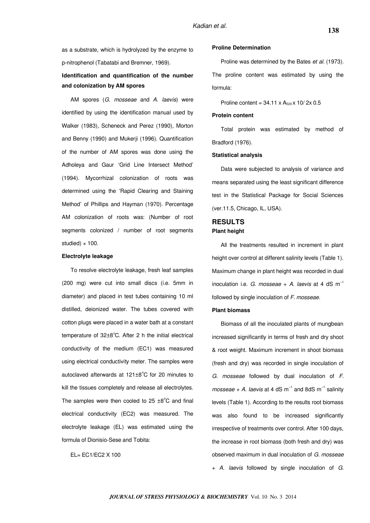as a substrate, which is hydrolyzed by the enzyme to p-nitrophenol (Tabatabi and Bremner, 1969).

# **Identification and quantification of the number and colonization by AM spores**

AM spores (G. mosseae and A. laevis) were identified by using the identification manual used by Walker (1983), Scheneck and Perez (1990), Morton and Benny (1990) and Mukerji (1996). Quantification of the number of AM spores was done using the Adholeya and Gaur 'Grid Line Intersect Method' (1994). Mycorrhizal colonization of roots was determined using the 'Rapid Clearing and Staining Method' of Phillips and Hayman (1970). Percentage AM colonization of roots was: (Number of root segments colonized / number of root segments studied)  $\times$  100.

## **Electrolyte leakage**

To resolve electrolyte leakage, fresh leaf samples (200 mg) were cut into small discs (i.e. 5mm in diameter) and placed in test tubes containing 10 ml distilled, deionized water. The tubes covered with cotton plugs were placed in a water bath at a constant temperature of  $32\pm8^{\circ}$ C. After 2 h the initial electrical conductivity of the medium (EC1) was measured using electrical conductivity meter. The samples were autoclaved afterwards at  $121\pm8^{\circ}$ C for 20 minutes to kill the tissues completely and release all electrolytes. The samples were then cooled to  $25 \pm 8^{\circ}$ C and final electrical conductivity (EC2) was measured. The electrolyte leakage (EL) was estimated using the formula of Dionisio-Sese and Tobita:

EL= EC1/EC2 X 100

## **Proline Determination**

Proline was determined by the Bates et al. (1973). The proline content was estimated by using the formula:

Proline content =  $34.11 \times A_{520} \times 10^{7}$  2x 0.5

#### **Protein content**

Total protein was estimated by method of Bradford (1976).

#### **Statistical analysis**

Data were subjected to analysis of variance and means separated using the least significant difference test in the Statistical Package for Social Sciences (ver.11.5, Chicago, IL, USA).

# **RESULTS Plant height**

All the treatments resulted in increment in plant height over control at different salinity levels (Table 1). Maximum change in plant height was recorded in dual inoculation i.e. G. mosseae + A. laevis at 4 dS  $m^{-1}$ followed by single inoculation of F. mosseae.

#### **Plant biomass**

Biomass of all the inoculated plants of mungbean increased significantly in terms of fresh and dry shoot & root weight. Maximum increment in shoot biomass (fresh and dry) was recorded in single inoculation of G. mosseae followed by dual inoculation of F. mosseae + A. laevis at 4 dS m<sup>-1</sup> and 8dS m<sup>-1</sup> salinity levels (Table 1). According to the results root biomass was also found to be increased significantly irrespective of treatments over control. After 100 days, the increase in root biomass (both fresh and dry) was observed maximum in dual inoculation of G. mosseae + A. laevis followed by single inoculation of G.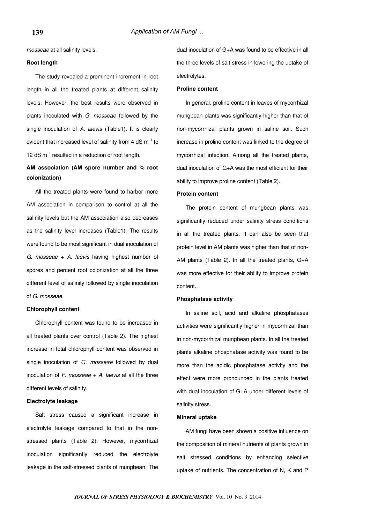mosseae at all salinity levels.

#### **Root length**

The study revealed a prominent increment in root length in all the treated plants at different salinity levels. However, the best results were observed in plants inoculated with G. mosseae followed by the single inoculation of A. laevis (Table1). It is clearly evident that increased level of salinity from 4 dS m<sup>-1</sup> to 12 dS m−1 resulted in a reduction of root length.

# **AM association (AM spore number and % root colonization)**

All the treated plants were found to harbor more AM association in comparison to control at all the salinity levels but the AM association also decreases as the salinity level increases (Table1). The results were found to be most significant in dual inoculation of G. mosseae + A. laevis having highest number of spores and percent root colonization at all the three different level of salinity followed by single inoculation of G. mosseae.

## **Chlorophyll content**

Chlorophyll content was found to be increased in all treated plants over control (Table 2). The highest increase in total chlorophyll content was observed in single inoculation of G. mosseae followed by dual inoculation of  $F$ . mosseae  $+$  A. laevis at all the three different levels of salinity.

#### **Electrolyte leakage**

Salt stress caused a significant increase in electrolyte leakage compared to that in the nonstressed plants (Table 2). However, mycorrhizal inoculation significantly reduced the electrolyte leakage in the salt-stressed plants of mungbean. The dual inoculation of G+A was found to be effective in all the three levels of salt stress in lowering the uptake of electrolytes.

#### **Proline content**

In general, proline content in leaves of mycorrhizal mungbean plants was significantly higher than that of non-mycorrhizal plants grown in saline soil. Such increase in proline content was linked to the degree of mycorrhizal infection. Among all the treated plants, dual inoculation of G+A was the most efficient for their ability to improve proline content (Table 2).

### **Protein content**

The protein content of mungbean plants was significantly reduced under salinity stress conditions in all the treated plants. It can also be seen that protein level in AM plants was higher than that of non-AM plants (Table 2). In all the treated plants, G+A was more effective for their ability to improve protein content.

#### **Phosphatase activity**

In saline soil, acid and alkaline phosphatases activities were significantly higher in mycorrhizal than in non-mycorrhizal mungbean plants. In all the treated plants alkaline phosphatase activity was found to be more than the acidic phosphatase activity and the effect were more pronounced in the plants treated with dual inoculation of G+A under different levels of salinity stress.

## **Mineral uptake**

AM fungi have been shown a positive influence on the composition of mineral nutrients of plants grown in salt stressed conditions by enhancing selective uptake of nutrients. The concentration of N, K and P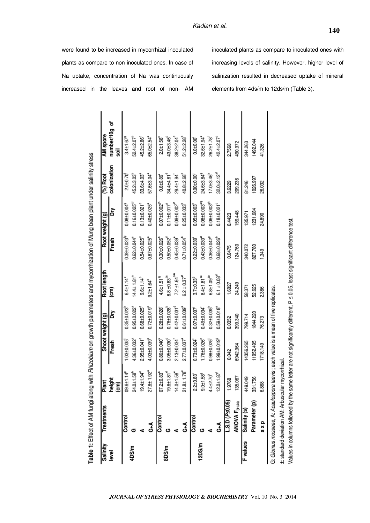plants as compare to non-inoculated ones. In case of

Na uptake, concentration of Na was continuously

increased in the leaves and root of non- AM

inoculated plants as compare to inoculated ones with increasing levels of salinity. However, higher level of salinization resulted in decreased uptake of mineral elements from 4ds/m to 12ds/m (Table 3).

| 4DS/m<br>level | Treatments             | Plant                        |                               | Shoot weight (g)              | Root length                     |                               | Root weight (g)                | $(%)$ Root              | AM spore                    |
|----------------|------------------------|------------------------------|-------------------------------|-------------------------------|---------------------------------|-------------------------------|--------------------------------|-------------------------|-----------------------------|
|                |                        | height<br>(cm)               | Fresh                         | Σñ                            | (cm                             | Fresh                         | Σñ                             | colonization            | number/10g of<br>soil       |
|                | Control                | 09.6±1.14 <sup>9</sup>       | 1.03±0.035                    | 0.35±0.023                    | $6.4 \pm 1.14$                  | $0.39 + 0.023^{19}$           | $0.08 + 0.004$ <sup>9</sup>    | $2.0 + 0.70$            | $3.4 \pm 1.67$ <sup>6</sup> |
|                |                        | 24.0±1.58 <sup>b</sup>       | $4.36 \pm 0.032$ <sup>a</sup> | $0.95 \pm 0.022$ <sup>a</sup> | $14.4 \pm 1.81$ <sup>a</sup>    | $0.62 \pm 0.044^{\circ}$      | $0.16 \pm 0.025^{4d}$          | 45.2±3.03               | 52.4±2.07 <sup>e</sup>      |
|                |                        | $19.4 \pm 1.94^{\circ}$      | $2.95 \pm 0.041^{\circ}$      | $0.68 + 0.025d$               | $9.6 + 1.14^{b}$                | $0.54 \pm 0.025$ <sup>d</sup> | $0.13 \pm 0.021$ <sup>d</sup>  | 33.6±4.03°              | 45.2±2.86°                  |
|                | $\frac{4}{9}$          | 27.8±1.92 <sup>4</sup>       | $4.03 \pm 0.039$ <sup>b</sup> | $0.72 \pm 0.019$ <sup>e</sup> | $9.2 \pm 1.64^b$                | $0.87 + 0.025a$               | $0.40 + 0.025$ <sup>*</sup>    | 57.6±3.04 <sup>ª</sup>  | 65.0±2.54 <sup>ª</sup>      |
|                | Control                | $07.2 \pm 0.83$              | $0.86 + 0.040$ <sup>*</sup>   | $0.28 + 0.028$                | $4.6 \pm 1.51$ <sup>9</sup>     | $0.30 + 0.026$                | $0.07 + 0.002^{\theta}$        | $0.6 + 0.89$            | $2.0 + 1.58$                |
| 8DS/m          |                        | $19.6 \pm 1.81$ <sup>d</sup> | 3.05±0.030                    | $0.78 + 0.028$                | $8.8 \pm 0.83$ <sup>bc</sup>    | $0.50 + 0.052$                | $0.11 \pm 0.017^8$             | 34.4±4.61 <sup>°</sup>  | 43.0±3.46°                  |
|                |                        | $14.0 \pm 1.58^9$            | 2.13±0.034                    | $0.42 \pm 0.031$ <sup>9</sup> | $7.2 \pm 1.64^{\circ\text{ss}}$ | $0.45 \pm 0.039$ <sup>e</sup> | $0.09 + 0.00266$               | 29.4±1.94               | 38.2±2.04                   |
|                | $\frac{4}{9}$          | 21.8±1.78°                   | 2.77±0.037                    | $0.61 \pm 0.039$ <sup>*</sup> | $6.2 \pm 0.37$ <sup>at</sup>    | $0.71 \pm 0.054^b$            | $0.25 \pm 0.033^{\circ}$       | 40.8±2.68°              | 51.2±2.28                   |
|                | Control                | 2.2±0.83                     | $0.73 + 0.024$                | $0.07 + 0.007$                | 3.7±0.33°                       | $0.22 \pm 0.039$              | $0.05 \pm 0.003$               | $0.00 + 0.00$           | $0.0 + 0.00$                |
| 12DS/m         |                        | $9.0 + 1.58^9$               | 1.76±0.026                    | $0.49 \pm 0.034$              | $8.4 \pm 1.81$ <sup>bc</sup>    | $0.43 \pm 0.030$ <sup>e</sup> | $0.08 + 0.00346$               | 24.6±3.84 <sup>9</sup>  | 32.6±1.94°                  |
|                |                        | $4.4 + 2.70h$                | $0.98 + 0.025$                | $0.32 \pm 0.035$ <sup>6</sup> | $6.8 + 1.09^{46}$               | $0.36 \pm 0.042^9$            | $0.06 \pm 0.003$ <sup>ar</sup> | $17.0 + 3.46n$          | 26.2±1.78                   |
|                | $\frac{4}{9}$          | $12.0 \pm 1.87$              | 1.99±0.019°                   | $0.59 + 0.018°$               | $6.1 \pm 0.08$ <sup>er</sup>    | $0.68 + 0.026b$               | $0.18 + 0.021$ <sup>c</sup>    | 32.0±2.12 <sup>et</sup> | 42.4±2.07                   |
|                | $-.$ S.D $(P_2 0.05)$  | 1.9768                       | 0.042                         | 0.0352                        | 1.6027                          | 0.0475                        | 0.4423                         | 3.6229                  | 2.7568                      |
|                | <b>ANOVA F</b> (11,24) | 135.067                      | 6942.964                      | 399.340                       | 24.249                          | 124.760                       | 159.448                        | 209.236                 | 490.972                     |
| F values       | Salinity (s)           | 449.049                      | 14356.265                     | 799.714                       | 58.371                          | 340.072                       | 135.971                        | 81.246                  | 344.263                     |
|                | Parameter (p)          | 331.756                      | 11952.495                     | 1844.220                      | 52.625                          | 827.780                       | 1231.684                       | 1026.997                | 1492.044                    |
|                | s x p                  | 6.868                        | 1718.149                      | 76.273                        | 2.386                           | 1.349                         | 24.890                         | 26.032                  | 41.326                      |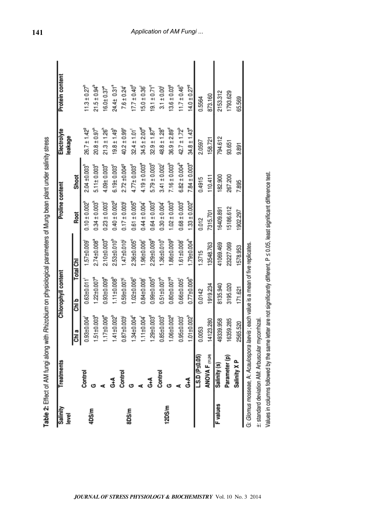| $21.5 \pm 0.94^b$<br>$11.3 \pm 0.27$ <sup>n</sup><br>$24.4 \pm 0.31$ <sup>a</sup><br>$17.7 \pm 0.40^{\circ}$<br>$19.1 \pm 0.71$ <sup>c</sup><br>$13.6 \pm 0.03$ <sup>9</sup><br>$14.0 \pm 0.279$<br>$11.7 \pm 0.46$<br>$15.0 \pm 0.36$<br>$7.6 \pm 0.24$<br>$16.0 \pm 0.37^{\circ}$<br>$3.1 \pm 0.00$<br>2153.312<br>1793.629<br>873.160<br>65.569<br>0.5564<br>$21.3 \pm 1.26$ <sup>h</sup><br>$34.5 \pm 2.00$ <sup>er</sup><br>$32.9 \pm 1.87$ <sup>er</sup><br>$48.8 \pm 1.28$ <sup>a</sup><br>$36.9 \pm 2.89^{\circ}$<br>$42.7 \pm 1.72^b$<br>$34.8 \pm 1.43^{\circ}$<br>$26.7 \pm 1.42^9$<br>$20.8 \pm 0.97$ <sup>h</sup><br>$40.2 \pm 0.99^{\circ}$<br>$19.8 \pm 1.49$<br>$32.4 \pm 1.01$<br>794.612<br>158.721<br>2.0597<br>93.651<br>9.891<br>$6.82 \pm 0.004^b$<br>$7.84 \pm 0.003$ <sup>a</sup><br>$7.16 \pm 0.003$ <sup>b</sup><br>$4.19 \pm 0.003$<br>$5.79 \pm 0.003$ <sup>e</sup><br>$2.72 \pm 0.0049$<br>$2.04 + 0.003$<br>$3.41 \pm 0.002$<br>$6.19 + 0.003c$<br>$4.09 + 0.003$<br>$4.77 \pm 0.003$ <sup>d</sup><br>$5.11 \pm 0.003$<br>267.200<br>182.900<br><b>Shoot</b><br>110.411<br>0.4915<br>7.895<br>$1.33 \pm 0.002$ <sup>2</sup><br>$.02 \pm 0.003^b$<br>$0.40 \pm 0.002^9$<br>$0.64 \pm 0.003$ <sup>e</sup><br>$0.68 \pm 0.003$ <sup>c</sup><br>$0.10 \pm 0.002$<br>$0.34 \pm 0.003$<br>$0.61 \pm 0.005$<br>$0.44 \pm 0.004$<br>$0.23 \pm 0.003$<br>$0.17 \pm 0.003$<br>$0.30 \pm 0.004$<br>15186.612<br>16409.891<br>1902.297<br>7315.701<br>Root<br>0.012<br>$1.79 \pm 0.004$ <sup>h</sup><br>$2.53 + 0.0105$<br>$2.29 + 0.009$ <sup>°</sup><br>$-86 + 0.009$ <sup>9</sup><br>$2.10 + 0.003$<br>$1.36 + 0.010k$<br>2.36±0.005<br>$1.61 \pm 0.008$<br>$2.74 \pm 0.008$<br>$1.47 + 0.010$<br>1.96±0.006<br>$1.57 + 0.009$<br>23227.069<br>13548.763<br>41069.469<br>578.953<br>1.3715<br><b>Total Chi</b><br>$0.77 \pm 0.006$ <sup>h</sup><br>$1.11 \pm 0.008$ <sup>b</sup><br>$0.99 + 0.005d$<br>$0.93 \pm 0.009$ <sup>e</sup><br>$1.02 \pm 0.006$ <sup>e</sup><br>$0.80 + 0.007$ <sup>9</sup><br>$0.51 \pm 0.007$ <sup>*</sup><br>$1.22 \pm 0.007$<br>$0.59 + 0.007$<br>$0.84 \pm 0.008$<br>$0.66 \pm 0.005$<br>$0.63 + 0.011$<br>1919.234<br>8135.940<br>3195.020<br>171.621<br>0.0142<br>ᇯ<br>$.41 \pm 0.002^{b}$<br>$.01 \pm 0.002$ <sup>h</sup><br>$.29 \pm 0.003$ <sup>d</sup><br>$.06 + 0.0029$<br>$.34 \pm 0.004$<br>85±0.003<br>$.17 \pm 0.006$ <sup>e</sup><br>$.51 \pm 0.003$<br>87±0.003<br>$.11 \pm 0.004$<br>93±0.004<br>$0.95 \pm 0.003$<br>4123.280<br>6359.285<br>9339.958<br>2565.520<br>.0053<br>틟<br><b>ANOVA F (11,24)</b><br>L.S.D (Ps0.05)<br>Parameter (p)<br>Salinity X <sub>P</sub><br>Salinity (s)<br>Control<br>Control<br>Control<br>$_{\rm d}^4$<br>$\frac{4}{3}$<br><b>F</b> values<br>12DS/m<br>8DS/m<br>4DS/m | Salinity<br>level | Treatments | Chlorophyll content | Proline content | Electrolyte<br>leakage | Protein content |
|---------------------------------------------------------------------------------------------------------------------------------------------------------------------------------------------------------------------------------------------------------------------------------------------------------------------------------------------------------------------------------------------------------------------------------------------------------------------------------------------------------------------------------------------------------------------------------------------------------------------------------------------------------------------------------------------------------------------------------------------------------------------------------------------------------------------------------------------------------------------------------------------------------------------------------------------------------------------------------------------------------------------------------------------------------------------------------------------------------------------------------------------------------------------------------------------------------------------------------------------------------------------------------------------------------------------------------------------------------------------------------------------------------------------------------------------------------------------------------------------------------------------------------------------------------------------------------------------------------------------------------------------------------------------------------------------------------------------------------------------------------------------------------------------------------------------------------------------------------------------------------------------------------------------------------------------------------------------------------------------------------------------------------------------------------------------------------------------------------------------------------------------------------------------------------------------------------------------------------------------------------------------------------------------------------------------------------------------------------------------------------------------------------------------------------------------------------------------------------------------------------------------------------------------------------------------------------------------------------------------------------------------------------------------------------------------------------------------------------------------------------------------------|-------------------|------------|---------------------|-----------------|------------------------|-----------------|
|                                                                                                                                                                                                                                                                                                                                                                                                                                                                                                                                                                                                                                                                                                                                                                                                                                                                                                                                                                                                                                                                                                                                                                                                                                                                                                                                                                                                                                                                                                                                                                                                                                                                                                                                                                                                                                                                                                                                                                                                                                                                                                                                                                                                                                                                                                                                                                                                                                                                                                                                                                                                                                                                                                                                                                           |                   |            |                     |                 |                        |                 |
|                                                                                                                                                                                                                                                                                                                                                                                                                                                                                                                                                                                                                                                                                                                                                                                                                                                                                                                                                                                                                                                                                                                                                                                                                                                                                                                                                                                                                                                                                                                                                                                                                                                                                                                                                                                                                                                                                                                                                                                                                                                                                                                                                                                                                                                                                                                                                                                                                                                                                                                                                                                                                                                                                                                                                                           |                   |            |                     |                 |                        |                 |
|                                                                                                                                                                                                                                                                                                                                                                                                                                                                                                                                                                                                                                                                                                                                                                                                                                                                                                                                                                                                                                                                                                                                                                                                                                                                                                                                                                                                                                                                                                                                                                                                                                                                                                                                                                                                                                                                                                                                                                                                                                                                                                                                                                                                                                                                                                                                                                                                                                                                                                                                                                                                                                                                                                                                                                           |                   |            |                     |                 |                        |                 |
|                                                                                                                                                                                                                                                                                                                                                                                                                                                                                                                                                                                                                                                                                                                                                                                                                                                                                                                                                                                                                                                                                                                                                                                                                                                                                                                                                                                                                                                                                                                                                                                                                                                                                                                                                                                                                                                                                                                                                                                                                                                                                                                                                                                                                                                                                                                                                                                                                                                                                                                                                                                                                                                                                                                                                                           |                   |            |                     |                 |                        |                 |
|                                                                                                                                                                                                                                                                                                                                                                                                                                                                                                                                                                                                                                                                                                                                                                                                                                                                                                                                                                                                                                                                                                                                                                                                                                                                                                                                                                                                                                                                                                                                                                                                                                                                                                                                                                                                                                                                                                                                                                                                                                                                                                                                                                                                                                                                                                                                                                                                                                                                                                                                                                                                                                                                                                                                                                           |                   |            |                     |                 |                        |                 |
|                                                                                                                                                                                                                                                                                                                                                                                                                                                                                                                                                                                                                                                                                                                                                                                                                                                                                                                                                                                                                                                                                                                                                                                                                                                                                                                                                                                                                                                                                                                                                                                                                                                                                                                                                                                                                                                                                                                                                                                                                                                                                                                                                                                                                                                                                                                                                                                                                                                                                                                                                                                                                                                                                                                                                                           |                   |            |                     |                 |                        |                 |
|                                                                                                                                                                                                                                                                                                                                                                                                                                                                                                                                                                                                                                                                                                                                                                                                                                                                                                                                                                                                                                                                                                                                                                                                                                                                                                                                                                                                                                                                                                                                                                                                                                                                                                                                                                                                                                                                                                                                                                                                                                                                                                                                                                                                                                                                                                                                                                                                                                                                                                                                                                                                                                                                                                                                                                           |                   |            |                     |                 |                        |                 |
|                                                                                                                                                                                                                                                                                                                                                                                                                                                                                                                                                                                                                                                                                                                                                                                                                                                                                                                                                                                                                                                                                                                                                                                                                                                                                                                                                                                                                                                                                                                                                                                                                                                                                                                                                                                                                                                                                                                                                                                                                                                                                                                                                                                                                                                                                                                                                                                                                                                                                                                                                                                                                                                                                                                                                                           |                   |            |                     |                 |                        |                 |
|                                                                                                                                                                                                                                                                                                                                                                                                                                                                                                                                                                                                                                                                                                                                                                                                                                                                                                                                                                                                                                                                                                                                                                                                                                                                                                                                                                                                                                                                                                                                                                                                                                                                                                                                                                                                                                                                                                                                                                                                                                                                                                                                                                                                                                                                                                                                                                                                                                                                                                                                                                                                                                                                                                                                                                           |                   |            |                     |                 |                        |                 |
|                                                                                                                                                                                                                                                                                                                                                                                                                                                                                                                                                                                                                                                                                                                                                                                                                                                                                                                                                                                                                                                                                                                                                                                                                                                                                                                                                                                                                                                                                                                                                                                                                                                                                                                                                                                                                                                                                                                                                                                                                                                                                                                                                                                                                                                                                                                                                                                                                                                                                                                                                                                                                                                                                                                                                                           |                   |            |                     |                 |                        |                 |
|                                                                                                                                                                                                                                                                                                                                                                                                                                                                                                                                                                                                                                                                                                                                                                                                                                                                                                                                                                                                                                                                                                                                                                                                                                                                                                                                                                                                                                                                                                                                                                                                                                                                                                                                                                                                                                                                                                                                                                                                                                                                                                                                                                                                                                                                                                                                                                                                                                                                                                                                                                                                                                                                                                                                                                           |                   |            |                     |                 |                        |                 |
|                                                                                                                                                                                                                                                                                                                                                                                                                                                                                                                                                                                                                                                                                                                                                                                                                                                                                                                                                                                                                                                                                                                                                                                                                                                                                                                                                                                                                                                                                                                                                                                                                                                                                                                                                                                                                                                                                                                                                                                                                                                                                                                                                                                                                                                                                                                                                                                                                                                                                                                                                                                                                                                                                                                                                                           |                   |            |                     |                 |                        |                 |
|                                                                                                                                                                                                                                                                                                                                                                                                                                                                                                                                                                                                                                                                                                                                                                                                                                                                                                                                                                                                                                                                                                                                                                                                                                                                                                                                                                                                                                                                                                                                                                                                                                                                                                                                                                                                                                                                                                                                                                                                                                                                                                                                                                                                                                                                                                                                                                                                                                                                                                                                                                                                                                                                                                                                                                           |                   |            |                     |                 |                        |                 |
|                                                                                                                                                                                                                                                                                                                                                                                                                                                                                                                                                                                                                                                                                                                                                                                                                                                                                                                                                                                                                                                                                                                                                                                                                                                                                                                                                                                                                                                                                                                                                                                                                                                                                                                                                                                                                                                                                                                                                                                                                                                                                                                                                                                                                                                                                                                                                                                                                                                                                                                                                                                                                                                                                                                                                                           |                   |            |                     |                 |                        |                 |
|                                                                                                                                                                                                                                                                                                                                                                                                                                                                                                                                                                                                                                                                                                                                                                                                                                                                                                                                                                                                                                                                                                                                                                                                                                                                                                                                                                                                                                                                                                                                                                                                                                                                                                                                                                                                                                                                                                                                                                                                                                                                                                                                                                                                                                                                                                                                                                                                                                                                                                                                                                                                                                                                                                                                                                           |                   |            |                     |                 |                        |                 |
|                                                                                                                                                                                                                                                                                                                                                                                                                                                                                                                                                                                                                                                                                                                                                                                                                                                                                                                                                                                                                                                                                                                                                                                                                                                                                                                                                                                                                                                                                                                                                                                                                                                                                                                                                                                                                                                                                                                                                                                                                                                                                                                                                                                                                                                                                                                                                                                                                                                                                                                                                                                                                                                                                                                                                                           |                   |            |                     |                 |                        |                 |
|                                                                                                                                                                                                                                                                                                                                                                                                                                                                                                                                                                                                                                                                                                                                                                                                                                                                                                                                                                                                                                                                                                                                                                                                                                                                                                                                                                                                                                                                                                                                                                                                                                                                                                                                                                                                                                                                                                                                                                                                                                                                                                                                                                                                                                                                                                                                                                                                                                                                                                                                                                                                                                                                                                                                                                           |                   |            |                     |                 |                        |                 |
|                                                                                                                                                                                                                                                                                                                                                                                                                                                                                                                                                                                                                                                                                                                                                                                                                                                                                                                                                                                                                                                                                                                                                                                                                                                                                                                                                                                                                                                                                                                                                                                                                                                                                                                                                                                                                                                                                                                                                                                                                                                                                                                                                                                                                                                                                                                                                                                                                                                                                                                                                                                                                                                                                                                                                                           |                   |            |                     |                 |                        |                 |

Values in columns followed by the same letter are not significantly different, P ≤ 0.05, least significant difference test.

±: standard deviation AM: Arbuscular mycorrhizal.

Table 2: Effect of AM fungi along with Rhizobium on physiological parameters of Mung bean plant under salinity stress

**141**

# *Application of AM Fungi ...*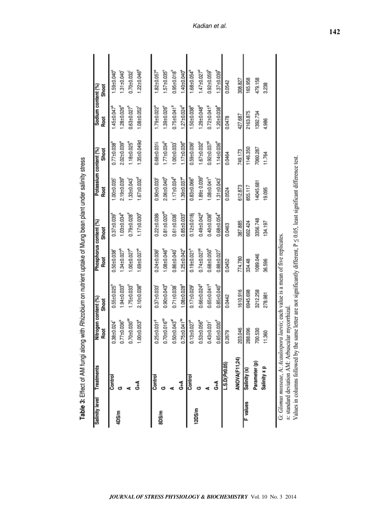| Salinity level | Treatments           | Nitrogen content (%)           |                               | Phosphorus content (%)        |                                | Potassium content (%)         |                               | Sodium content (%)            |                               |
|----------------|----------------------|--------------------------------|-------------------------------|-------------------------------|--------------------------------|-------------------------------|-------------------------------|-------------------------------|-------------------------------|
|                |                      | Root                           | Shoot                         | Root                          | <b>Shoot</b>                   | Root                          | Shoot                         | Root                          | <b>Shoot</b>                  |
|                | Control              | $0.38 + 0.024$                 | $0.55 \pm 0.025$              | $0.50 + 0.038$                | $0.37 + 0.039$                 | $1.00 + 0.035$                | $0.77 \pm 0.038$              | $1.45 \pm 0.047$              | 59±0.040                      |
| 4DS/m          | ඏ                    | $0.77 \pm 0.036^b$             | $1.94 \pm 0.033$ <sup>b</sup> | $1.34 \pm 0.027$ <sup>e</sup> | $1.03 \pm 0.034^{\circ}$       | 2.19±0.039                    | 2.02±0.039                    | $1.28 + 0.026q$               | 1.31±0.040                    |
|                |                      | $0.70 \pm 0.030^{\text{eq}}$   | $1.75 \pm 0.033$              | $1.00 + 0.027$                | $0.79 \pm 0.028$               | 1.33±0.043                    | $1.18 + 0.025$                | $0.63 + 0.027$                | $0.70 + 0.032$                |
|                | J                    | 1.00±0.053 <sup>*</sup>        | 2.10±0.038                    | $1.69 \pm 0.027$              | $1.17 \pm 0.030^4$             | $1.67 \pm 0.032$ <sup>a</sup> | 1.35±0.049d                   | 1.08±0.052                    | $1.22 \pm 0.046^9$            |
|                |                      |                                |                               |                               |                                |                               |                               |                               |                               |
|                | Control              | $0.25 \pm 0.031$ <sup>9</sup>  | 0.37±0.033                    | $0.24 \pm 0.036$              | $0.22 + 0.038i$                | $0.90 + 0.033$                | 0.68±0.031i                   | $1.79 \pm 0.022$ <sup>*</sup> | 1.82±0.057                    |
| 8DS/m          |                      | $0.70 + 0.016^{\text{cd}}$     | $0.90 + 0.043$                | $1.08 + 0.046^{\circ}$        | $0.81 \pm 0.020$ <sup>cd</sup> | $2.06 \pm 0.040^{\circ}$      | $1.77 \pm 0.034^{\circ}$      | $1.39 + 0.026$                | $1.57 \pm 0.035$ <sup>e</sup> |
|                |                      | $0.50 + 0.0434$                | $0.71 \pm 0.038$              | $0.86 + 0.040$                | $0.61 \pm 0.038$               | $1.17 \pm 0.034$ <sup>9</sup> | $1.00 + 0.033$                | $0.75 \pm 0.041$ <sup>9</sup> | $0.95 \pm 0.018$              |
|                | $\epsilon^4$         | $0.75 \pm 0.041$ <sup>bc</sup> | $1.08 + 0.028d$               | 1.25±0.042 <sup>e</sup>       | $0.85 \pm 0.033$ <sup>e</sup>  | 1.39±0.037                    | $1.17 \pm 0.036$              | $1.27 \pm 0.024^d$            | $1.40 + 0.040$                |
|                | Control              | $0.13 \pm 0.027$ <sup>h</sup>  | $0.17 + 0.029$                | $0.19 + 0.021$                | $0.12 \pm 0.018$               | $0.83 + 0.066$                | $0.59 + 0.036$                | $1.50 \pm 0.038$              | $-68 + 0.054$                 |
| 12DS/m         |                      | 0.53±0.056°                    | $0.66 \pm 0.0249$             | $0.74 \pm 0.027$ <sup>e</sup> | $0.49 + 0.042$ <sup>9</sup>    | $1.89 \pm 0.039$ <sup>e</sup> | $1.67 \pm 0.032$ <sup>e</sup> | $1.29 \pm 0.048^{\circ}$      | $1.47 \pm 0.027$ <sup>e</sup> |
|                |                      | $0.43 \pm 0.031$               | $0.65 \pm 0.0419$             | $0.68 + 0.050$                | $0.40 + 0.038$                 | $1.08 + 0.041h$               | $0.92 \pm 0.037$ <sup>e</sup> | $0.72 \pm 0.041$ <sup>9</sup> | $0.92 \pm 0.059$              |
|                | $\frac{4}{9}$        | $0.65 \pm 0.030^{4}$           | $0.85 \pm 0.040^{\circ}$      | $0.88 + 0.027$                | $0.68 \pm 0.054$ <sup>*</sup>  | $1.31 \pm 0.043$              | 1.14±0.036                    | 1.20±0.038                    | $1.37 \pm 0.039$ <sup>*</sup> |
|                | L.S.D(Ps0.05)        | 0.2679                         | 0.0442                        | 0.0452                        | 0.0463                         | 0.0524                        | 0.0464                        | 0.0478                        | 0.0542                        |
|                | <b>ANOVA(F11,24)</b> | 203.046                        | 1610.916                      | 774.780                       | 387.885                        | 612.873                       | 749.173                       | 427.687                       | 308.827                       |
| F values       | Salinity (s)         | 288.096                        | 6945.698                      | 334.48                        | 602.424                        | 855.117                       | 1146.350                      | 2163.875                      | 165.958                       |
|                | Parameter (p)        | 700.530                        | 3212.258                      | 1089.046                      | 3356.748                       | 14045.681                     | 7060.287                      | 1392.734                      | 479.158                       |
|                | Salinity x p         | 11.360                         | 278.981                       | 36.596                        | 134.197                        | 19.095                        | 11.764                        | 4.986                         | 3.238                         |
|                |                      |                                |                               |                               |                                |                               |                               |                               |                               |

Table 3: Effect of AM fungi along with Rhizobium on nutrient uptake of Mung bean plant under salinity stress

G: Gromus mosseae, A: Acautospora taevas; each value is a mean of five replicates.<br>
±: standard deviation AM: Arbuscular mycorrhizal.

Values in columns followed by the same letter are not significantly different,  $P \le 0.05$ , least significant difference test.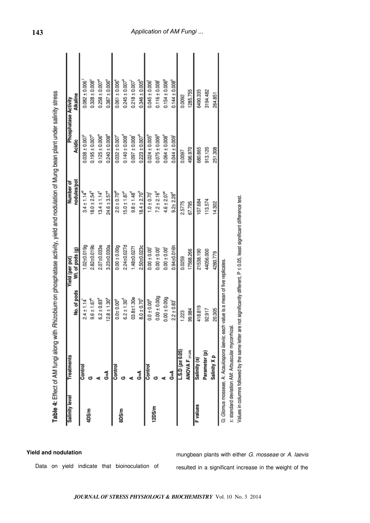| Salinity level  | Treatments                                                                                                                  |                        | Yield (per pot)  | Number of                    |                                | Phosphatase Activity           |
|-----------------|-----------------------------------------------------------------------------------------------------------------------------|------------------------|------------------|------------------------------|--------------------------------|--------------------------------|
|                 |                                                                                                                             | No. of pods            | Wt. of pods (g)  | nodules/pot                  | Acidic                         | Alkaline                       |
|                 | Control                                                                                                                     | $2.4 \pm 1.14$         | $0.02 + 0.0199$  | $3.4 \pm 1.14^9$             | $0.038 \pm 0.007$              | $0.082 \pm 0.006$              |
| 4DS/m           | ඏ                                                                                                                           | $9.6 \pm 1.67^{\circ}$ | $2.82 + 0.019$ b | $18.0 \pm 2.54^b$            | $0.195 \pm 0.007$ <sup>e</sup> | $0.328 \pm 0.008$ <sup>e</sup> |
|                 |                                                                                                                             | $6.2 \pm 0.83^d$       | $2.07 + 0.033e$  | $13.4 \pm 1.14^{\circ}$      | $0.125 \pm 0.006^4$            | $0.258 \pm 0.007$ <sup>4</sup> |
|                 | $\frac{4}{9}$                                                                                                               | $12.8 \pm 1.30^4$      | $3.23 + 0.030a$  | $24.6 \pm 3.57$ <sup>a</sup> | $0.240 \pm 0.008$ <sup>*</sup> | $0.387 \pm 0.006$              |
|                 | Control                                                                                                                     | $0.010^{+0.009}$       | $0.00 \pm 0.00g$ | $2.0 \pm 0.70$ <sup>ar</sup> | $0.032 \pm 0.007$              | $0.061 \pm 0.006$              |
| 8DS/m           |                                                                                                                             | $6.2 \pm 1.30^9$       | 2.24±0.027d      | $15.0 \pm 1.87$              | $0.140 \pm 0.008$              | $0.245 \pm 0.007$              |
|                 |                                                                                                                             | 03.8±1.30e             | 1.48±0.027f      | $9.8 \pm 1.48^{\circ}$       | $0.097 \pm 0.008$              | $0.218 \pm 0.007$              |
|                 | 4+Q                                                                                                                         | $8.0 \pm 0.70^{\circ}$ | 2.50±0.023c      | $18.4 \pm 2.70^{\circ}$      | $0.223 \pm 0.007$              | $0.346 \pm 0.005$              |
|                 | Control                                                                                                                     | $0.0 + 0.00^9$         | $0.00 \pm 0.00$  | $1.0 + 0.70$                 | $0.024 \pm 0.005$              | $0.045 \pm 0.006$              |
| 12DS/m          |                                                                                                                             | $0.00 \pm 0.00$ g      | $0.00 \pm 0.00$  | $7.2 \pm 2.16^{\circ}$       | $0.075 \pm 0.006^9$            | $0.116 \pm 0.008$              |
|                 |                                                                                                                             | $0.00 \pm 0.009$       | $0.00 \pm 0.00$  | $4.6 \pm 2.07$ <sup>4</sup>  | $0.064 \pm 0.008$              | $0.154 \pm 0.006^9$            |
|                 | <b>A</b>                                                                                                                    | $2.2 \pm 0.83$         | $0.94 + 0.016h$  | $9.2 \pm 2.28^{\circ}$       | $0.044 \pm 0.009$              | $0.144 \pm 0.008$              |
|                 | $L.S.D(p \le 0.05)$                                                                                                         | 1.223                  | 0.0259           | 2.5775                       | 76000                          | 0.0092                         |
|                 | <b>ANOVA F (11,24)</b>                                                                                                      | 99.984                 | 17568.266        | 67.795                       | 496.970                        | 1285.755                       |
| <b>F</b> values | Salinity (s)                                                                                                                | 418.819                | 21538.190        | 107.684                      | 680.865                        | 6490.335                       |
|                 | Parameter (p)                                                                                                               | 92.917                 | 44056.000        | 113.574                      | 913.120                        | 3194.482                       |
|                 | Salinity X p                                                                                                                | 20.305                 | 4280.779         | 14.302                       | 251.308                        | 264.851                        |
|                 | G: Glomus mosseae, A: Acaulospora laevis; each value is a mean of five replicates.                                          |                        |                  |                              |                                |                                |
|                 | ±: standard deviation AM: Arbuscular mycorrhizal                                                                            |                        |                  |                              |                                |                                |
|                 | Values in columns followed by the same letter are not significantly different, P ≤ 0.05, least significant difference test. |                        |                  |                              |                                |                                |

Table 4: Effect of AM fungi along with Rhizobium on phosphatase activity, vield and nodulation of Mung bean plant under salinity stress

**Yield and nodulation**

Data on yield indicate that bioinoculation of

mungbean plants with either G. mosseae or A. laevis resulted in a significant increase in the weight of the

# *Application of AM Fungi ...*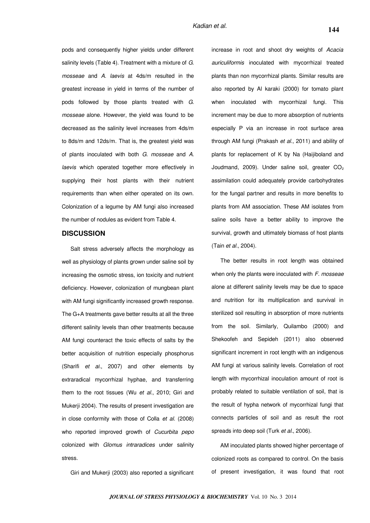pods and consequently higher yields under different salinity levels (Table 4). Treatment with a mixture of G. mosseae and A. laevis at 4ds/m resulted in the greatest increase in yield in terms of the number of pods followed by those plants treated with G. mosseae alone. However, the yield was found to be decreased as the salinity level increases from 4ds/m to 8ds/m and 12ds/m. That is, the greatest yield was of plants inoculated with both G. mosseae and A. laevis which operated together more effectively in supplying their host plants with their nutrient requirements than when either operated on its own. Colonization of a legume by AM fungi also increased the number of nodules as evident from Table 4.

## **DISCUSSION**

Salt stress adversely affects the morphology as well as physiology of plants grown under saline soil by increasing the osmotic stress, ion toxicity and nutrient deficiency. However, colonization of mungbean plant with AM fungi significantly increased growth response. The G+A treatments gave better results at all the three different salinity levels than other treatments because AM fungi counteract the toxic effects of salts by the better acquisition of nutrition especially phosphorus (Sharifi et al., 2007) and other elements by extraradical mycorrhizal hyphae, and transferring them to the root tissues (Wu et al., 2010; Giri and Mukerji 2004). The results of present investigation are in close conformity with those of Colla et al. (2008) who reported improved growth of Cucurbita pepo colonized with Glomus intraradices under salinity stress.

Giri and Mukerii (2003) also reported a significant

increase in root and shoot dry weights of Acacia auriculiformis inoculated with mycorrhizal treated plants than non mycorrhizal plants. Similar results are also reported by Al karaki (2000) for tomato plant when inoculated with mycorrhizal fungi. This increment may be due to more absorption of nutrients especially P via an increase in root surface area through AM fungi (Prakash et al., 2011) and ability of plants for replacement of K by Na (Haijiboland and Joudmand, 2009). Under saline soil, greater  $CO<sub>2</sub>$ assimilation could adequately provide carbohydrates for the fungal partner and results in more benefits to plants from AM association. These AM isolates from saline soils have a better ability to improve the survival, growth and ultimately biomass of host plants (Tain et al., 2004).

The better results in root length was obtained when only the plants were inoculated with  $F$ . mosseae alone at different salinity levels may be due to space and nutrition for its multiplication and survival in sterilized soil resulting in absorption of more nutrients from the soil. Similarly, Quilambo (2000) and Shekoofeh and Sepideh (2011) also observed significant increment in root length with an indigenous AM fungi at various salinity levels. Correlation of root length with mycorrhizal inoculation amount of root is probably related to suitable ventilation of soil, that is the result of hypha network of mycorrhizal fungi that connects particles of soil and as result the root spreads into deep soil (Turk et al., 2006).

AM inoculated plants showed higher percentage of colonized roots as compared to control. On the basis of present investigation, it was found that root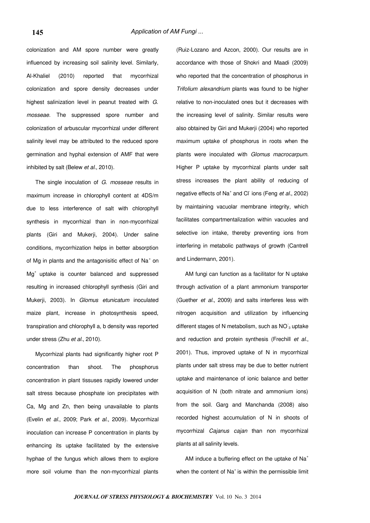colonization and AM spore number were greatly influenced by increasing soil salinity level. Similarly, Al-Khaliel (2010) reported that mycorrhizal colonization and spore density decreases under highest salinization level in peanut treated with G. mosseae. The suppressed spore number and colonization of arbuscular mycorrhizal under different salinity level may be attributed to the reduced spore germination and hyphal extension of AMF that were inhibited by salt (Belew et al., 2010).

The single inoculation of G. mosseae results in maximum increase in chlorophyll content at 4DS/m due to less interference of salt with chlorophyll synthesis in mycorrhizal than in non-mycorrhizal plants (Giri and Mukerji, 2004). Under saline conditions, mycorrhization helps in better absorption of Mg in plants and the antagonisitic effect of Na<sup>+</sup> on Mg<sup>+</sup> uptake is counter balanced and suppressed resulting in increased chlorophyll synthesis (Giri and Mukerji, 2003). In Glomus etunicatum inoculated maize plant, increase in photosynthesis speed, transpiration and chlorophyll a, b density was reported under stress (Zhu et al., 2010).

Mycorrhizal plants had significantly higher root P concentration than shoot. The phosphorus concentration in plant tissuses rapidly lowered under salt stress because phosphate ion precipitates with Ca, Mg and Zn, then being unavailable to plants (Evelin et al., 2009; Park et al., 2009). Mycorrhizal inoculation can increase P concentration in plants by enhancing its uptake facilitated by the extensive hyphae of the fungus which allows them to explore more soil volume than the non-mycorrhizal plants (Ruiz-Lozano and Azcon, 2000). Our results are in accordance with those of Shokri and Maadi (2009) who reported that the concentration of phosphorus in Trifolium alexandrium plants was found to be higher relative to non-inoculated ones but it decreases with the increasing level of salinity. Similar results were also obtained by Giri and Mukerji (2004) who reported maximum uptake of phosphorus in roots when the plants were inoculated with Glomus macrocarpum. Higher P uptake by mycorrhizal plants under salt stress increases the plant ability of reducing of negative effects of Na<sup>+</sup> and Cl<sup>-</sup>ions (Feng et al., 2002) by maintaining vacuolar membrane integrity, which facilitates compartmentalization within vacuoles and selective ion intake, thereby preventing ions from interfering in metabolic pathways of growth (Cantrell and Lindermann, 2001).

AM fungi can function as a facilitator for N uptake through activation of a plant ammonium transporter (Guether et al., 2009) and salts interferes less with nitrogen acquisition and utilization by influencing different stages of N metabolism, such as  $NO_3$  uptake and reduction and protein synthesis (Frechill et al., 2001). Thus, improved uptake of N in mycorrhizal plants under salt stress may be due to better nutrient uptake and maintenance of ionic balance and better acquisition of N (both nitrate and ammonium ions) from the soil. Garg and Manchanda (2008) also recorded highest accumulation of N in shoots of mycorrhizal Cajanus cajan than non mycorrhizal plants at all salinity levels.

AM induce a buffering effect on the uptake of Na<sup>+</sup> when the content of  $Na<sup>+</sup>$  is within the permissible limit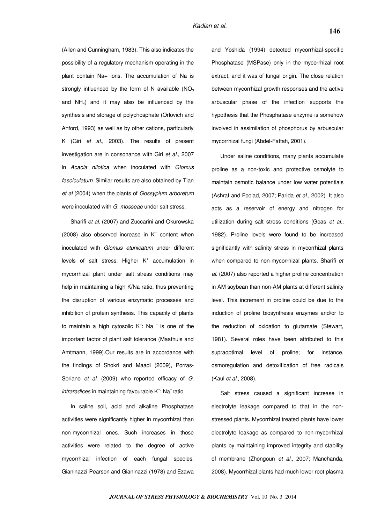(Allen and Cunningham, 1983). This also indicates the possibility of a regulatory mechanism operating in the plant contain Na+ ions. The accumulation of Na is strongly influenced by the form of N available  $(NO<sub>3</sub>)$ and NH4) and it may also be influenced by the synthesis and storage of polyphosphate (Orlovich and Ahford, 1993) as well as by other cations, particularly K (Giri et al., 2003). The results of present investigation are in consonance with Giri et al., 2007 in Acacia nilotica when inoculated with Glomus fasciculatum. Similar results are also obtained by Tian et al (2004) when the plants of Gossypium arboretum were inoculated with G. mosseae under salt stress.

Sharifi et al. (2007) and Zuccarini and Okurowska  $(2008)$  also observed increase in  $K^+$  content when inoculated with Glomus etunicatum under different levels of salt stress. Higher K<sup>+</sup> accumulation in mycorrhizal plant under salt stress conditions may help in maintaining a high K/Na ratio, thus preventing the disruption of various enzymatic processes and inhibition of protein synthesis. This capacity of plants to maintain a high cytosolic  $K^{\dagger}$ : Na  $^+$  is one of the important factor of plant salt tolerance (Maathuis and Amtmann, 1999).Our results are in accordance with the findings of Shokri and Maadi (2009), Porras-Soriano et al. (2009) who reported efficacy of G. intraradices in maintaining favourable K<sup>+</sup>: Na<sup>+</sup> ratio.

In saline soil, acid and alkaline Phosphatase activities were significantly higher in mycorrhizal than non-mycorrhizal ones. Such increases in those activities were related to the degree of active mycorrhizal infection of each fungal species. Gianinazzi-Pearson and Gianinazzi (1978) and Ezawa

and Yoshida (1994) detected mycorrhizal-specific Phosphatase (MSPase) only in the mycorrhizal root extract, and it was of fungal origin. The close relation between mycorrhizal growth responses and the active arbuscular phase of the infection supports the hypothesis that the Phosphatase enzyme is somehow involved in assimilation of phosphorus by arbuscular mycorrhizal fungi (Abdel-Fattah, 2001).

Under saline conditions, many plants accumulate proline as a non-toxic and protective osmolyte to maintain osmotic balance under low water potentials (Ashraf and Foolad, 2007; Parida et al., 2002). It also acts as a reservoir of energy and nitrogen for utilization during salt stress conditions (Goas et al., 1982). Proline levels were found to be increased significantly with salinity stress in mycorrhizal plants when compared to non-mycorrhizal plants. Sharifi et al. (2007) also reported a higher proline concentration in AM soybean than non-AM plants at different salinity level. This increment in proline could be due to the induction of proline biosynthesis enzymes and/or to the reduction of oxidation to glutamate (Stewart, 1981). Several roles have been attributed to this supraoptimal level of proline; for instance, osmoregulation and detoxification of free radicals (Kaul et al., 2008).

Salt stress caused a significant increase in electrolyte leakage compared to that in the nonstressed plants. Mycorrhizal treated plants have lower electrolyte leakage as compared to non-mycorrhizal plants by maintaining improved integrity and stability of membrane (Zhongoun et al., 2007; Manchanda, 2008). Mycorrhizal plants had much lower root plasma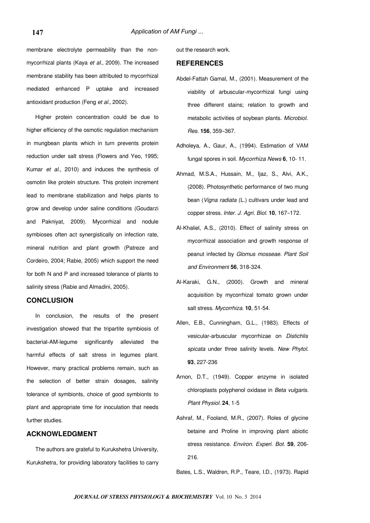membrane electrolyte permeability than the nonmycorrhizal plants (Kaya et al., 2009). The increased membrane stability has been attributed to mycorrhizal mediated enhanced P uptake and increased antioxidant production (Feng et al., 2002).

Higher protein concentration could be due to higher efficiency of the osmotic regulation mechanism in mungbean plants which in turn prevents protein reduction under salt stress (Flowers and Yeo, 1995; Kumar et al., 2010) and induces the synthesis of osmotin like protein structure. This protein increment lead to membrane stabilization and helps plants to grow and develop under saline conditions (Goudarzi and Pakniyat, 2009). Mycorrhizal and nodule symbioses often act synergistically on infection rate, mineral nutrition and plant growth (Patreze and Cordeiro, 2004; Rabie, 2005) which support the need for both N and P and increased tolerance of plants to salinity stress (Rabie and Almadini, 2005).

# **CONCLUSION**

In conclusion, the results of the present investigation showed that the tripartite symbiosis of bacterial-AM-legume significantly alleviated the harmful effects of salt stress in legumes plant. However, many practical problems remain, such as the selection of better strain dosages, salinity tolerance of symbionts, choice of good symbionts to plant and appropriate time for inoculation that needs further studies.

## **ACKNOWLEDGMENT**

The authors are grateful to Kurukshetra University, Kurukshetra, for providing laboratory facilities to carry out the research work.

## **REFERENCES**

- Abdel-Fattah Gamal, M., (2001). Measurement of the viability of arbuscular-mycorrhizal fungi using three different stains; relation to growth and metabolic activities of soybean plants. Microbiol. Res. **156**, 359–367.
- Adholeya, A., Gaur, A., (1994). Estimation of VAM fungal spores in soil. Mycorrhiza News **6**, 10- 11.
- Ahmad, M.S.A., Hussain, M., Ijaz, S., Alvi, A.K., (2008). Photosynthetic performance of two mung bean (Vigna radiata (L.) cultivars under lead and copper stress. Inter. J. Agri. Biol. **10**, 167–172.
- Al-Khaliel, A.S., (2010). Effect of salinity stress on mycorrhizal association and growth response of peanut infected by Glomus mosseae. Plant Soil and Environment **56**, 318-324.
- Al-Karaki, G.N., (2000). Growth and mineral acquisition by mycorrhizal tomato grown under salt stress. Mycorrhiza. **10**, 51-54.
- Allen, E.B., Cunningham, G.L., (1983). Effects of vesicular-arbuscular mycorrhizae on Distichlis spicata under three salinity levels. New Phytol. **93**, 227-236
- Arnon, D.T., (1949). Copper enzyme in isolated chloroplasts polyphenol oxidase in Beta vulgaris. Plant Physiol. **24**, 1-5
- Ashraf, M., Fooland, M.R., (2007). Roles of glycine betaine and Proline in improving plant abiotic stress resistance. Environ. Experi. Bot. **59**, 206- 216.

Bates, L.S., Waldren, R.P., Teare, I.D., (1973). Rapid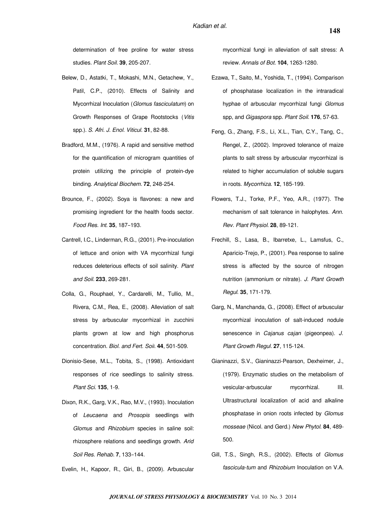determination of free proline for water stress studies. Plant Soil. **39**, 205-207.

- Belew, D., Astatki, T., Mokashi, M.N., Getachew, Y., Patil, C.P., (2010). Effects of Salinity and Mycorrhizal Inoculation (Glomus fasciculatum) on Growth Responses of Grape Rootstocks (Vitis spp.). S. Afri. J. Enol. Viticul. **31**, 82-88.
- Bradford, M.M., (1976). A rapid and sensitive method for the quantification of microgram quantities of protein utilizing the principle of protein-dye binding. Analytical Biochem. **72**, 248-254.
- Brounce, F., (2002). Soya is flavones: a new and promising ingredient for the health foods sector. Food Res. Int. **35**, 187–193.
- Cantrell, I.C., Linderman, R.G., (2001). Pre-inoculation of lettuce and onion with VA mycorrhizal fungi reduces deleterious effects of soil salinity. Plant and Soil. **233**, 269-281.
- Colla, G., Rouphael, Y., Cardarelli, M., Tullio, M., Rivera, C.M., Rea, E., (2008). Alleviation of salt stress by arbuscular mycorrhizal in zucchini plants grown at low and high phosphorus concentration. Biol. and Fert. Soil. **44**, 501-509.
- Dionisio-Sese, M.L., Tobita, S., (1998). Antioxidant responses of rice seedlings to salinity stress. Plant Sci. **135**, 1-9.
- Dixon, R.K., Garg, V.K., Rao, M.V., (1993). Inoculation of Leucaena and Prosopis seedlings with Glomus and Rhizobium species in saline soil: rhizosphere relations and seedlings growth. Arid Soil Res. Rehab. **7**, 133–144.

Evelin, H., Kapoor, R., Giri, B., (2009). Arbuscular

mycorrhizal fungi in alleviation of salt stress: A review. Annals of Bot. **104**, 1263-1280.

- Ezawa, T., Saito, M., Yoshida, T., (1994). Comparison of phosphatase localization in the intraradical hyphae of arbuscular mycorrhizal fungi Glomus spp, and Gigaspora spp. Plant Soil. **176**, 57-63.
- Feng, G., Zhang, F.S., Li, X.L., Tian, C.Y., Tang, C., Rengel, Z., (2002). Improved tolerance of maize plants to salt stress by arbuscular mycorrhizal is related to higher accumulation of soluble sugars in roots. Mycorrhiza. **12**, 185-199.
- Flowers, T.J., Torke, P.F., Yeo, A.R., (1977). The mechanism of salt tolerance in halophytes. Ann. Rev. Plant Physiol. **28**, 89-121.
- Frechill, S., Lasa, B., Ibarretxe, L., Lamsfus, C., Aparicio-Trejo, P., (2001). Pea response to saline stress is affected by the source of nitrogen nutrition (ammonium or nitrate). J. Plant Growth Regul. **35**, 171-179.
- Garg, N., Manchanda, G., (2008). Effect of arbuscular mycorrhizal inoculation of salt-induced nodule senescence in Cajanus cajan (pigeonpea). J. Plant Growth Regul. **27**, 115-124.
- Gianinazzi, S.V., Gianinazzi-Pearson, Dexheimer, J., (1979). Enzymatic studies on the metabolism of vesicular-arbuscular mycorrhizal. III. Ultrastructural localization of acid and alkaline phosphatase in onion roots infected by Glomus mosseae (Nicol. and Gerd.) New Phytol. **84**, 489- 500.
- Gill, T.S., Singh, R.S., (2002). Effects of Glomus fascicula-tum and Rhizobium Inoculation on V.A.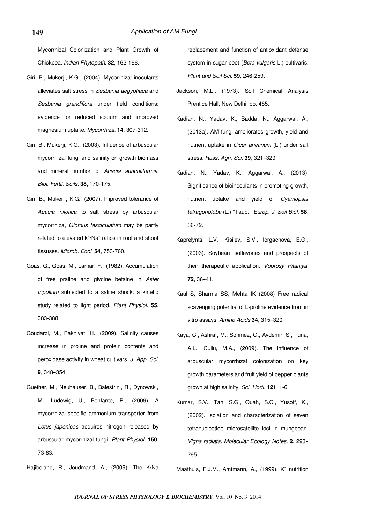Mycorrhizal Colonization and Plant Growth of Chickpea. Indian Phytopath. **32**, 162-166.

- Giri, B., Mukerji, K.G., (2004). Mycorrhizal inoculants alleviates salt stress in Sesbania aegyptiaca and Sesbania grandiflora under field conditions: evidence for reduced sodium and improved magnesium uptake. Mycorrhiza. **14**, 307-312.
- Giri, B., Mukerji, K.G., (2003). Influence of arbuscular mycorrhizal fungi and salinity on growth biomass and mineral nutrition of Acacia auriculiformis. Biol. Fertil. Soils. **38**, 170-175.
- Giri, B., Mukerji, K.G., (2007). Improved tolerance of Acacia nilotica to salt stress by arbuscular mycorrhiza, Glomus fasciculatum may be partly related to elevated  $k^*/Na^*$  ratios in root and shoot tissuses. Microb. Ecol. **54**, 753-760.
- Goas, G., Goas, M., Larhar, F., (1982). Accumulation of free praline and glycine betaine in Aster tripolium subjected to a saline shock: a kinetic study related to light period. Plant Physiol. **55**, 383-388.
- Goudarzi, M., Pakniyat, H., (2009). Salinity causes increase in proline and protein contents and peroxidase activity in wheat cultivars. J. App. Sci. **9**, 348–354.
- Guether, M., Neuhauser, B., Balestrini, R., Dynowski, M., Ludewig, U., Bonfante, P., (2009). A mycorrhizal-specific ammonium transporter from Lotus japonicas acquires nitrogen released by arbuscular mycorrhizal fungi. Plant Physiol. **150**, 73-83.
- Hajiboland, R., Joudmand, A., (2009). The K/Na

replacement and function of antioxidant defense system in sugar beet (Beta vulgaris L.) cultivaris. Plant and Soil Sci. **59**, 246-259.

- Jackson, M.L., (1973). Soil Chemical Analysis Prentice Hall, New Delhi, pp. 485.
- Kadian, N., Yadav, K., Badda, N., Aggarwal, A., (2013a). AM fungi ameliorates growth, yield and nutrient uptake in Cicer arietinum (L.) under salt stress. Russ. Agri. Sci. **39**, 321–329.
- Kadian, N., Yadav, K., Aggarwal, A., (2013). Significance of bioinoculants in promoting growth, nutrient uptake and yield of Cyamopsis tetragonoloba (L.) "Taub.'' Europ. J. Soil Biol. **58**, 66-72.
- Kaprelynts, L.V., Kisilev, S.V., Iorgachova, E.G., (2003). Soybean isoflavones and prospects of their therapeutic application. Voprosy Pitaniya. **72**, 36–41.
- Kaul S, Sharma SS, Mehta IK (2008) Free radical scavenging potential of L-proline evidence from in vitro assays. Amino Acids **34**, 315–320
- Kaya, C., Ashraf, M., Sonmez, O., Aydemir, S., Tuna, A.L., Cullu, M.A., (2009). The influence of arbuscular mycorrhizal colonization on key growth parameters and fruit yield of pepper plants grown at high salinity. Sci. Horti. **121**, 1-6.
- Kumar, S.V., Tan, S.G., Quah, S.C., Yusoff, K., (2002). Isolation and characterization of seven tetranucleotide microsatellite loci in mungbean, Vigna radiata. Molecular Ecology Notes. **2**, 293– 295.

Maathuis, F.J.M., Amtmann, A., (1999). K<sup>+</sup> nutrition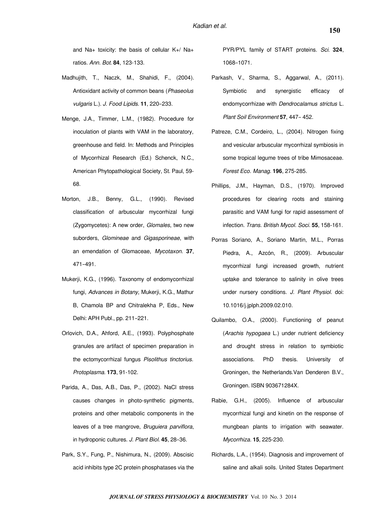and Na+ toxicity: the basis of cellular K+/ Na+ ratios. Ann. Bot. **84**, 123-133.

- Madhujith, T., Naczk, M., Shahidi, F., (2004). Antioxidant activity of common beans (Phaseolus vulgaris L.). J. Food Lipids. **11**, 220–233.
- Menge, J.A., Timmer, L.M., (1982). Procedure for inoculation of plants with VAM in the laboratory, greenhouse and field. In: Methods and Principles of Mycorrhizal Research (Ed.) Schenck, N.C., American Phytopathological Society, St. Paul, 59- 68.
- Morton, J.B., Benny, G.L., (1990). Revised classification of arbuscular mycorrhizal fungi (Zygomycetes): A new order, Glomales, two new suborders, Glomineae and Gigasporineae, with an emendation of Glomaceae, Mycotaxon. **37**, 471–491.
- Mukerji, K.G., (1996). Taxonomy of endomycorrhizal fungi, Advances in Botany, Mukerji, K.G., Mathur B, Chamola BP and Chitralekha P, Eds., New Delhi: APH Publ., pp. 211–221.
- Orlovich, D.A., Ahford, A.E., (1993). Polyphosphate granules are artifact of specimen preparation in the ectomycorrhizal fungus Pisolithus tinctorius. Protoplasma. **173**, 91-102.
- Parida, A., Das, A.B., Das, P., (2002). NaCl stress causes changes in photo-synthetic pigments, proteins and other metabolic components in the leaves of a tree mangrove, Bruguiera parviflora, in hydroponic cultures. J. Plant Biol. **45**, 28–36.
- Park, S.Y., Fung, P., Nishimura, N., (2009). Abscisic acid inhibits type 2C protein phosphatases via the

PYR/PYL family of START proteins. Sci. **324**, 1068–1071.

- Parkash, V., Sharma, S., Aggarwal, A., (2011). Symbiotic and synergistic efficacy of endomycorrhizae with Dendrocalamus strictus L. Plant Soil Environment **57**, 447– 452.
- Patreze, C.M., Cordeiro, L., (2004). Nitrogen fixing and vesicular arbuscular mycorrhizal symbiosis in some tropical legume trees of tribe Mimosaceae. Forest Eco. Manag. **196**, 275-285.
- Phillips, J.M., Hayman, D.S., (1970). Improved procedures for clearing roots and staining parasitic and VAM fungi for rapid assessment of infection. Trans. British Mycol. Soci. **55**, 158-161.
- Porras Soriano, A., Soriano Martin, M.L., Porras Piedra, A., Azcón, R., (2009). Arbuscular mycorrhizal fungi increased growth, nutrient uptake and tolerance to salinity in olive trees under nursery conditions. J. Plant Physiol. doi: 10.1016/j.jplph.2009.02.010.
- Quilambo, O.A., (2000). Functioning of peanut (Arachis hypogaea L.) under nutrient deficiency and drought stress in relation to symbiotic associations. PhD thesis. University of Groningen, the Netherlands.Van Denderen B.V., Groningen. ISBN 903671284X.
- Rabie, G.H., (2005). Influence of arbuscular mycorrhizal fungi and kinetin on the response of mungbean plants to irrigation with seawater. Mycorrhiza. **15**, 225-230.
- Richards, L.A., (1954). Diagnosis and improvement of saline and alkali soils. United States Department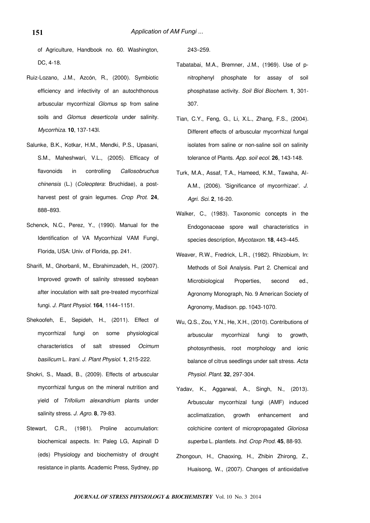of Agriculture, Handbook no. 60. Washington, DC, 4-18.

- Ruiz-Lozano, J.M., Azcón, R., (2000). Symbiotic efficiency and infectivity of an autochthonous arbuscular mycorrhizal Glomus sp from saline soils and Glomus deserticola under salinity. Mycorrhiza. **10**, 137-143l.
- Salunke, B.K., Kotkar, H.M., Mendki, P.S., Upasani, S.M., Maheshwari, V.L., (2005). Efficacy of flavonoids in controlling Callosobruchus chinensis (L.) (Coleoptera: Bruchidae), a postharvest pest of grain legumes. Crop Prot. **24**, 888–893.
- Schenck, N.C., Perez, Y., (1990). Manual for the Identification of VA Mycorrhizal VAM Fungi, Florida, USA: Univ. of Florida, pp. 241.
- Sharifi, M., Ghorbanli, M., Ebrahimzadeh, H., (2007). Improved growth of salinity stressed soybean after inoculation with salt pre-treated mycorrhizal fungi. J. Plant Physiol. **164**, 1144–1151.
- Shekoofeh, E., Sepideh, H., (2011). Effect of mycorrhizal fungi on some physiological characteristics of salt stressed Ocimum basilicum L. Irani. J. Plant Physiol. **1**, 215-222.
- Shokri, S., Maadi, B., (2009). Effects of arbuscular mycorrhizal fungus on the mineral nutrition and yield of Trifolium alexandrium plants under salinity stress. J. Agro. **8**, 79-83.
- Stewart, C.R., (1981). Proline accumulation: biochemical aspects. In: Paleg LG, Aspinall D (eds) Physiology and biochemistry of drought resistance in plants. Academic Press, Sydney, pp

243–259.

- Tabatabai, M.A., Bremner, J.M., (1969). Use of pnitrophenyl phosphate for assay of soil phosphatase activity. Soil Biol Biochem. **1**, 301- 307.
- Tian, C.Y., Feng, G., Li, X.L., Zhang, F.S., (2004). Different effects of arbuscular mycorrhizal fungal isolates from saline or non-saline soil on salinity tolerance of Plants. App. soil ecol. **26**, 143-148.
- Turk, M.A., Assaf, T.A., Hameed, K.M., Tawaha, Al‐ A.M., (2006). 'Significance of mycorrhizae'. J. Agri. Sci. **2**, 16‐20.
- Walker, C., (1983). Taxonomic concepts in the Endogonaceae spore wall characteristics in species description, Mycotaxon. **18**, 443–445.
- Weaver, R.W., Fredrick, L.R., (1982). Rhizobium, In: Methods of Soil Analysis. Part 2. Chemical and Microbiological Properties, second ed., Agronomy Monograph, No. 9 American Society of Agronomy, Madison. pp. 1043-1070.
- Wu, Q.S., Zou, Y.N., He, X.H., (2010). Contributions of arbuscular mycorrhizal fungi to growth, photosynthesis, root morphology and ionic balance of citrus seedlings under salt stress. Acta Physiol. Plant. **32**, 297-304.
- Yadav, K., Aggarwal, A., Singh, N., (2013). Arbuscular mycorrhizal fungi (AMF) induced acclimatization, growth enhancement and colchicine content of micropropagated Gloriosa superba L. plantlets. Ind. Crop Prod. **45**, 88-93.
- Zhongoun, H., Chaoxing, H., Zhibin Zhirong, Z., Huaisong, W., (2007). Changes of antioxidative

**151**